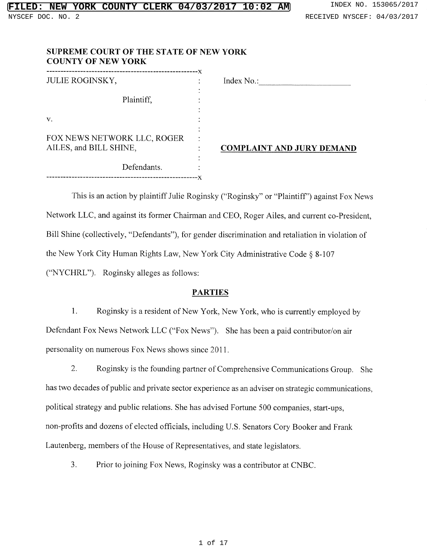| SUPREME COURT OF THE STATE OF NEW YORK |  |
|----------------------------------------|--|
| <b>COUNTY OF NEW YORK</b>              |  |

| <b>JULIE ROGINSKY,</b>                                |  | Index No.:               |
|-------------------------------------------------------|--|--------------------------|
|                                                       |  |                          |
| Plaintiff,                                            |  |                          |
|                                                       |  |                          |
| ν.                                                    |  |                          |
|                                                       |  |                          |
| FOX NEWS NETWORK LLC, ROGER<br>AILES, and BILL SHINE, |  |                          |
|                                                       |  | <b>COMPLAINT AND JUR</b> |
|                                                       |  |                          |
| Defendants.                                           |  |                          |
|                                                       |  |                          |

------------------------------------------------------x

# <u>DMPLAINT AND JURY DEMAND</u>

This is an action by plaintiff Julie Roginsky ("Roginsky" or "Plaintiff") against Fox News Network LLC, and against its former Chairman and CEO, Roger Ailes, and current co-President, Bill Shine (collectively, "Defendants"), for gender discrimination and retaliation in violation of the New York City Human Rights Law, New York City Administrative Code § 8-107 ("NYCHRL"). Roginsky alleges as follows:

## PARTIES

 $1.$ Roginsky is a resident of New York, New York, who is currently employed by Defendant Fox News Network LLC ("Fox News"). She has been a paid contributor/on air personality on numerous Fox News shows since 2011.

2. Roginsky is the founding partner of Comprehensive Communications Group. She has two decades of public and private sector experience as an adviser on strategic communications, political strategy and public relations. She has advised Fortune 500 companies, start-ups, non-profits and dozens of elected officials, including U.S. Senators Cory Booker and Frank Lautenberg, members of the House of Representatives, and state legislators.

3. Prior to joining Fox News, Roginsky was a contributor at CNBC.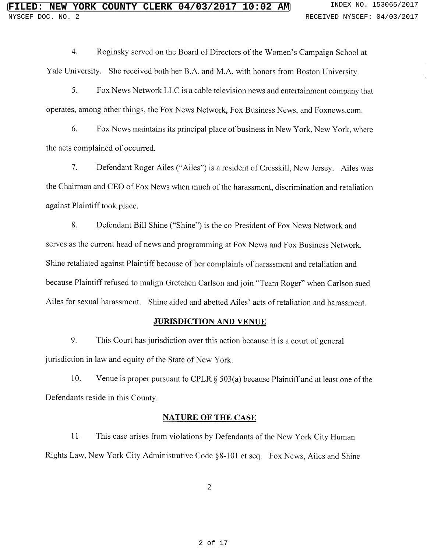4. Roginsky served on the Board of Directors of the Women's Campaign School at Yale University. She received bath her B.A, and M.A. with honors from Boston University.

5. Fox News Network LLC is a cable television news and entertainment company that operates, among other things, the Fox News Network, Fox Business News, and Foxnews.com.

6. Fox News maintains its principal place of business in New York, New York, where the acts complained of occurred.

7. Defendant Roger Ailes ("Ailes") is a resident of Cresskill, New Jersey. Ailes was the Chairman and CEO of Fox News when much of the harassment, discrimination and retaliation against Plaintiff took place.

8. Defendant Bill Shine ("Shine") is the co-President of Fox News Network and serves as the current head of news and programming at Fox News and Fox Business Network. Shine retaliated against Plaintiff because of her complaints of harassment and retaliation and because Plaintiff refused to malign Gretchen Carlson and join "Team Roger" when Carlson sued Ailes for sexual harassment. Shine aided and abetted Ailes' acts of retaliation and harassment.

## JURISDICTION AND VENUE

9. This Court has jurisdiction over this action because it is a court of general jurisdiction in law and equity of the State of New York.

10. Venue is proper pursuant to CPLR  $\S$  503(a) because Plaintiff and at least one of the Defendants reside in this County.

## NATURE OF THE CASE

11. This case arises from violations by Defendants of the New York City Human Rights Law, New York City Administrative Code §8-101 et seq. Fox News, Riles and Shine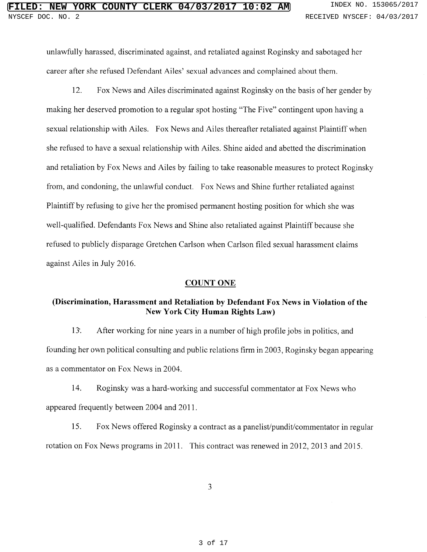unlawfully harassed, discriminated against, and retaliated against Roginsky and sabotaged her career after she refused Defendant Ailes' sexual advances and complained about them.

12. Fox News and Ailes discriminated against Roginsky on the basis of her gender by making her deserved promotion to a regular spot hosting "The Five" contingent upon having a sexual relationship with Ailes. Fox News and Ailes thereafter retaliated against Plaintiff when she refused to have a sexual relationship with Ailes. Shine aided and abetted the discrimination and retaliation by Fox News and Ailes by failing to take reasonable measures to protect Roginsky from, and condoning, the unlawful conduct. Fox News and Shine further retaliated against Plaintiff by refusing to give her the promised permanent hosting position for which she was well-qualified. Defendants Fox News and Shine also retaliated against Plaintiff because she refused to publicly disparage Gretchen Carlson when Carlson filed sexual harassment claims against Ailes in July 2016.

## COUNT ONE

## (Discrimination, Harassment and Retaliation by Defendant Fox News in Violation of the New York City Human Rights Law)

13<sup>.</sup> After working for nine years in a number of high profile jobs in politics, and founding her own political consulting and public relations firm in 2003, Roginsky began appearing as a commentator on Fox News in 2004.

14. Roginsky was ahard-working and successful commentator at Fox News who appeared frequently between 2004 and 2011.

15. Fox News offered Roginsky a contract as a panelist/pundit/commentator in regular rotation on Fox News programs in 2011. This contract was renewed in 2012, 2013 and 2015.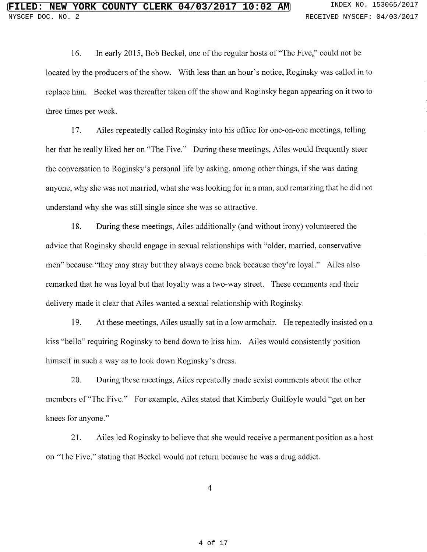16. In early 2015, Bob Beckel, one of the regular hosts of "The Five," could not be located by the producers of the show. With less than an hour's notice, Roginsky was called in to replace him. Beckel was thereafter taken off the show and Roginsky began appearing on it two to three times per week.

17. Ailes repeatedly called Roginsky into his office for one-on-one meetings, telling her that he really liked her on "The Five." During these meetings, Ailes would frequently steer the conversation to Roginsky's personal life by asking, among other things, if she was dating anyone, why she was not married, what she was looking for in a man, and remarking that he did not understand why she was still single since she was so attractive.

18. During these meetings, Ailes additionally (and without irony) volunteered the advice that Roginsky should engage in sexual relationships with "older, married, conservative men" because "they may stray but they always come back because they're loyal." Ailes also remarked that he was loyal but that loyalty was atwo-way street. These comments and their delivery made it clear that Ailes wanted a sexual relationship with Roginsky.

19. At these meetings, Ailes usually sat in a low armchair. He repeatedly insisted on a kiss "hello" requiring Roginsky to bend down to kiss him. Ailes would consistently position himself in such a way as to look down Roginsky's dress.

20. During these meetings, Ailes repeatedly made sexist comments about the other members of "The Five." For example, Ailes stated that Kimberly Guilfoyle would "get on her knees for anyone."

21. Ailes led Roginsky to believe that she would receive a permanent position as a host on "The Five," stating that Beckel would not return because he was a drug addict.

 $\overline{4}$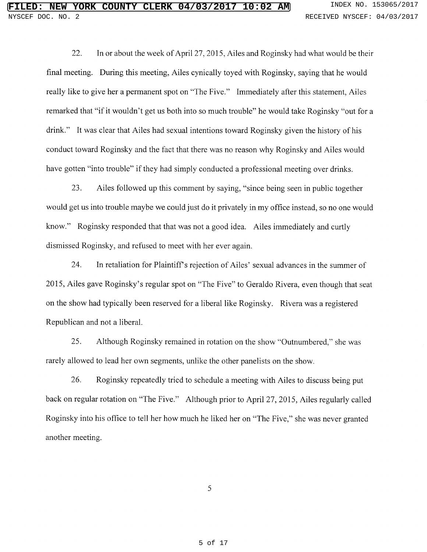22. In or about the week of Apri127, 2015, Ailes and Roginsky had what would be their final meeting. During this meeting, Ailes cynically toyed with Roginsky, saying that he would really like to give her a permanent spot on "The Five." Immediately after this statement, Ailes remarked that "if it wouldn't get us both into so much trouble" he would take Roginsky "out for a drink." It was clear that Ailes had sexual intentions toward Roginsky given the history of his conduct toward Roginsky and the fact that there was no reason why Roginsky and Ailes would have gotten "into trouble" if they had simply conducted a professional meeting over drinks.

23. Ailes followed up this comment by saying, "since being seen in public together would get us into trouble maybe we could just do it privately in my office instead, so no one would know." Roginsky responded that that was not a good idea. Ailes immediately and curtly dismissed Roginsky, and refused to meet with her ever again.

24. In retaliation for Plaintiff's rejection of Ailes' sexual advances in the summer of 2U 15, Ailes gave Roginsky's regular spot on "The Five" to Geraldo Rivera, even though that seat on the show had typically been reserved for a liberal like Roginsky. Rivera was a registered Republican and not a liberal.

25. Although Roginsky remained in rotation on the show "Outnumbered," she was rarely allowed to lead her own segments, unlike the other panelists on the show.

26. Roginsky repeatedly tried to schedule a meeting with Ailes to discuss being put back on regular rotation on "The Five." Although prior to April 27, 2015, Ailes regularly called Roginsky into his office to tell her how much he liked her on "The Five," she was never granted another meeting.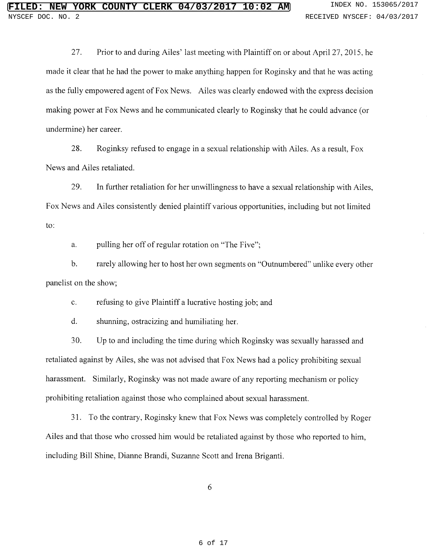27. Prior to and during Ailes' last meeting with Plaintiff on or about April 27, 2015, he made it dear that he had the power to make anything happen for Roginsky and that he was acting as the fully empowered agent of Fox News. Ailes was clearly endowed with the express decision making power at Fox News and he communicated clearly to Roginsky that he could advance (or undermine) her career.

28. Roginksy refused to engage in a sexual relationship with Ailes. As a result, Fox News and Ailes retaliated.

29. In further retaliation for her unwillingness to have a sexual relationship with Ailes, Fox News and Ailes consistently denied plaintiff various opportunities, including but not limited to:

a. pulling her off of regular rotation on "The Five";

b. rarely allowing her to host her own segments on "Outnumbered" unlike every other panelist on the show;

c. refusing to give Plaintiff a lucrative hosting job; and

d. shunning, ostracizing and humiliating her.

30. Up to and including the time during which Roginsky was sexually harassed and retaliated against by Ailes, she was not advised that Fox News had a policy prohibiting sexual harassment. Similarly, Roginsky was not made aware of any reporting mechanism or policy prohibiting retaliation against those who complained about sexual harassment.

31. To the contrary, Roginsky knew that Fox News was completely controlled by Roger Ailes and that those who crossed him would be retaliated against by those who reported to him, including Bill Shine, Dianne Brandi, Suzanne Scott and Irena Briganti.

C~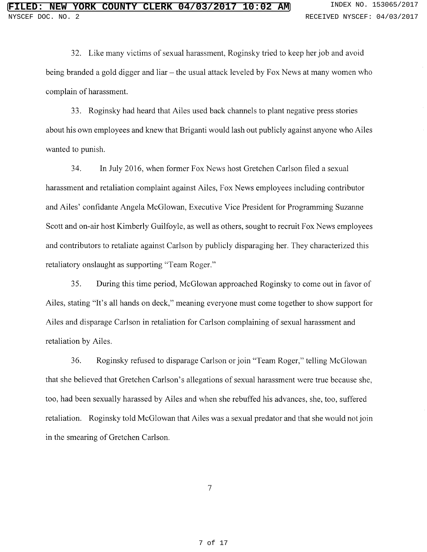32. Like many victims of sexual harassment, Roginsky tried to keep her job and avoid being branded a gold digger and liar – the usual attack leveled by Fox News at many women who complain of harassment.

33. Roginsky had heard that Ailes used back channels to plant negative press stories about his own employees and knew that Briganti would lash out publicly against anyone who Ailes wanted to punish.

34. In July 2016, when former Fox News host Gretchen Carlson filed a sexual harassment and retaliation complaint against Ailes, Fox News employees including contributor and Ailes' confidante Angela McGlowan, Executive Vice President for Programming Suzanne Scott and on-air host Kimberly Guilfoyle, as well as others, sought to recruit Fox News employees and contributors to retaliate against Carlson by publicly disparaging her. They characterized this retaliatory onslaught as supporting "Team Roger."

35. During this time period, McGlowan approached Roginsky to come out in favor of Ailes, stating "It's all hands on deck," meaning everyone must come together to show support for Ailes and disparage Carlson in retaliation for Carlson complaining of sexual harassment and retaliation by Ailes.

36. Roginsky refiised to disparage Carlson or join "Team Roger," telling McGlowan that she believed that Gretchen Carlson's allegations of sexual harassment were true because she, too, had been sexually harassed by Ailes and when she rebuffed his advances, she, too, suffered retaliation. Roginsky told McGlowan that Ailes was a sexual predator and that she would not join in the smearing of Gretchen Carlson.

 $\tau$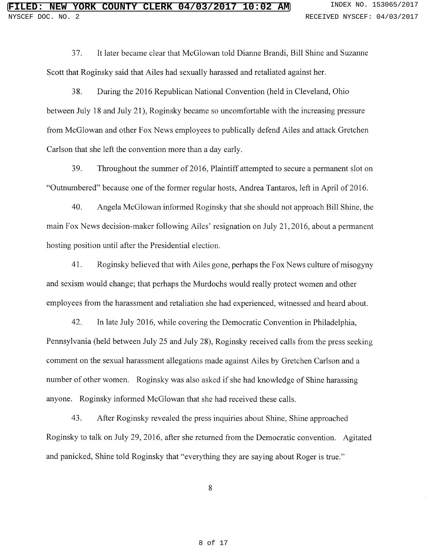37. It later became clear that McGlowan told Dianne Brandi, Bill Shine and Suzanne Scott that Roginsky said that Ailes had sexually harassed and retaliated against her.

38. During the 2016 Republican National Convention (held in Cleveland, Ohio between July 18 and July 21), Roginsky became so uncomfortable with the increasing pressure from McGiowan and other Fox News employees to publically defend Ailes and attack Gretchen Carlson that she left the convention more than a day early.

39. Throughout the summer of 2016, Plaintiff attempted to secure a permanent slot on "Outnumbered" because one of the former regular hosts, Andrea Tantaros, left in April of 2016.

40. Angela McGlowan informed Roginsky that she should not approach Bill Shine, the main Fox News decision-maker following Ailes' resignation on July 21, 2016, about a permanent hosting position until after the Presidential election.

41. Roginsky believed that with Ailes gone, perhaps the Fox News culture of misogyny and sexism would change; that perhaps the Murdochs would really protect women and other employees from the harassment and retaliation she had experienced, witnessed and heard about.

42. In late July 2016, while covering the Democratic Convention in Philadelphia, Pennsylvania (held between July 25 and July 28), Roginsky received calls from the press seeking comment on the sexual harassment allegations made against Ailes by Gretchen Carlson and a number of other women. Roginsky was also asked if she had knowledge of Shine harassing anyone. Roginsky informed McGlowan that she had received these calls.

43. After Roginsky revealed the press inquiries about Shine, Shine approached Roginsky to talk on July 29, 2016, after she returned from the Democratic convention. Agitated and panicked, Shine told Roginsky that "everything they are saying about Roger is true."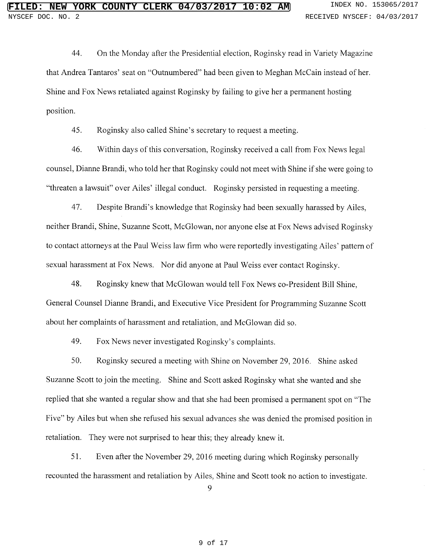44. On the Monday after the Presidential election, Roginsky read in Variety Magazine that Andrea Tantaros' seat on "Outnumbered" had been given to Meghan McCain instead of her. Shine and Fox News retaliated against Roginsky by failing to give her a permanent hosting position.

45. Roginsky also called Shine's secretary to request a meeting.

46. Within days of this conversation, Roginsky received a call from Fox News legal counsel, Dianne Brandi, who told her that Roginsky could not meet with Shine if she were going to "threaten a lawsuit" over Ailes' illegal conduct. Roginsky persisted in requesting a meeting.

47. Despite Brandi's knowledge that Roginsky had been sexually harassed by Ailes, neither Brandi, Shine, Suzanne Scott, McGlowan, nor anyone else at Fox News advised Roginsky to contact attorneys at the Paul Weiss law firm who were reportedly investigating Ailes' pattern of sexual harassment at Fox News. Nor did anyone at Paul Weiss ever contact Roginsky.

48. Roginsky knew that McGlowan would tell Fox News co-President Bill Shine, General Counsel Dianne Brandi, and Executive Vice President for Programming Suzanne Scott about her complaints of harassment and retaliation, and McGlowan did so.

49. Fox News never investigated Roginsky's complaints.

50. Koginsky secured a meeting with Shine on November 29, 2016. Shine asked Suzanne Scott to join the meeting. Shine and Scott asked Roginsky what she wanted and she replied that she wanted a regular show and that she had been promised a permanent spot on "The Five" by Ailes but when she refused his sexual advances she was denied the promised position in retaliation. They were not surprised to hear this; they already knew it.

51. Even after the November 29, 2016 meeting during which Roginsky personally recounted the harassment and retaliation by Ailes, Shine and Scott took no action to investigate.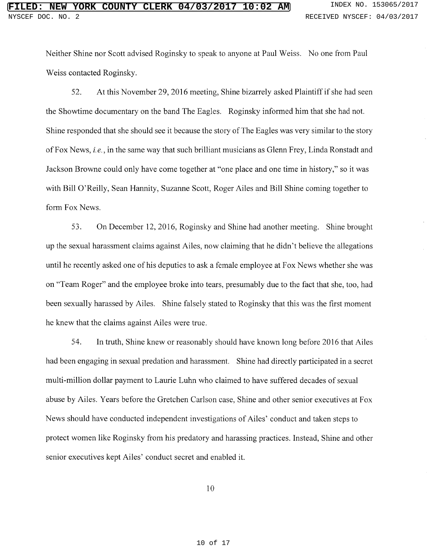Neither Shine nor Scott advised Roginsky to speak to anyone at Paul Weiss. No one from Paul Weiss contacted Roginsky.

52. At this November 29, 2016 meeting, Shine bizarrely asked Plaintiff if she had seen the Showtime documentary on the band The Eagles. Roginsky informed him that she had not. Shine responded that she should see it because the story of The Eagles was very similar to the story of Fox News, i.e., in the same way that such brilliant musicians as Glenn Frey, Linda Ronstadt and Jackson Browne could only have come together at "one place and one time in history," so it was with Bill O'Reilly, Sean Hannity, Suzanne Scott, Roger Ailes and Bill Shine coming together to form Fox News.

53. On December 12, 2016, Roginsky and Shine had another meeting. Shine brought up the sexual harassment claims against Ailes, now claiming that he didn't believe the allegations until he recently asked one of his deputies to ask a female employee at Fox News whether she was on "Team Roger" and the employee broke into tears, presumably due to the fact that she, too, had been sexually harassed by Ailes. Shine falsely stated to Roginsky that this was the first moment he knew that the claims against Ailes were true.

54. In truth, Shine knew or reasonably should have known long before 2016 that Ailes had been engaging in sexual predation and harassment. Shine had directly participated in a secret multi-million dollar payment to Laurie Luhn who claimed to have suffered decades of sexual abuse by Ailes. Years before the Gretchen Carlson case, Shine and other senior executives at Fox News should have conducted independent investigations of Ailes' conduct and taken steps to protect women like Roginsky from his predatory and harassing practices. Instead, Shine and other senior executives kept Ailes' conduct secret and enabled it.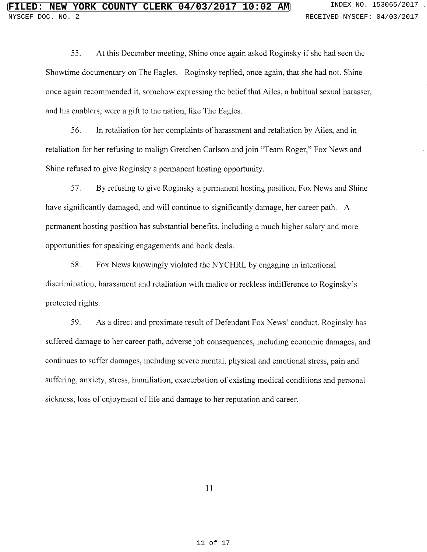55. At this December meeting, Shine once again asked Roginsky if she had seen the Showtime documentary on The Eagles. Roginsky replied, once again, that she had not. Shine once again recommended it, somehow expressing the belief that Ailes, a habitual sexual harasser, and his enablers, were a gift to the nation, like The Eagles.

56. In retaliation for her complaints of harassment and retaliation by Ailes, and in retaliation for her refusing to malign Gretchen Carlson and join "Team Roger," Fox News and Shine refused to give Roginsky a permanent hosting opportunity.

57. By refusing to give Roginsky a permanent hosting position, Fox News and Shine have significantly damaged, and will continue to significantly damage, her career path. A permanent hosting position has substantial benefits, including a much higher salary and more opportunities for speaking engagements and book deals.

58. Fox News knowingly violated the NYCHRL by engaging in intentional discrimination, harassment and retaliation with malice or reckless indifference to Roginsky's protected rights.

59. As a direct and proximate result of Defendant Fox News' conduct, Roginsky has suffered damage to her career path, adverse job consequences, including economic damages, and continues to suffer damages, including severe mental, physical and emotional stress, pain and suffering, anxiety, stress, humiliation, exacerbation of existing medical conditions and personal sickness, loss of enjoyment of life and damage to her reputation and career.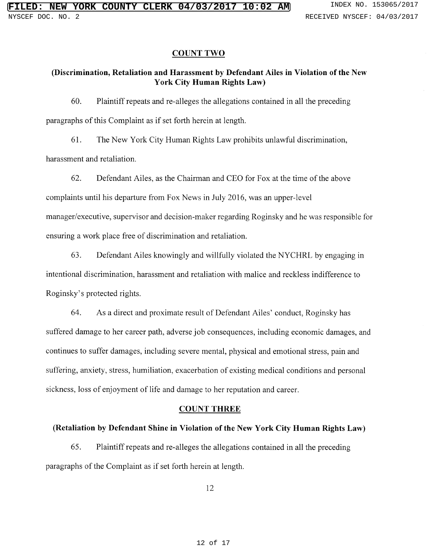#### COUNT TWO

## (Discrimination, Retaliation and Harassment by Defendant Ailes in Violation of the New York City Human Rights Law)

60. Plaintiff repeats and re-alleges the allegations contained in all the preceding paragraphs of this Complaint as if set forth herein at length.

61. The New York City Human Rights Law prohibits unlawful discrimination, harassment and retaliation.

62. Defendant Ailes, as the Chairman and CEO for Fox at the time of the above complaints until his departure from Fox News in July 2016, was an upper-level manager/executive, supervisor and decision-maker regarding Roginsky and he was responsible for ensuring a work place free of discrimination and retaliation.

63. Defendant Ailes knowingly and willfully violated the NYCHRL by engaging in intentional discrimination, harassment and retaliation with malice and reckless indifference to Roginsky's protected rights.

64. As a direct and proximate result of Defendant Ailes' conduct, Roginsky has suffered damage to her career path, adverse job consequences, including economic damages, and continues to suffer damages, including severe mental, physical and emotional stress, pain and suffering, anxiety, stress, humiliation, exacerbation of existing medical conditions and personal sickness, loss of enjoyment of life and damage to her reputation and career.

#### COUNT THREE

#### (Retaliation by Defendant Shine in Violation of the New York City Human Rights Law)

65. Plaintiff repeats and re-alleges the allegations contained in all the preceding paragraphs of the Complaint as if set forth herein at length.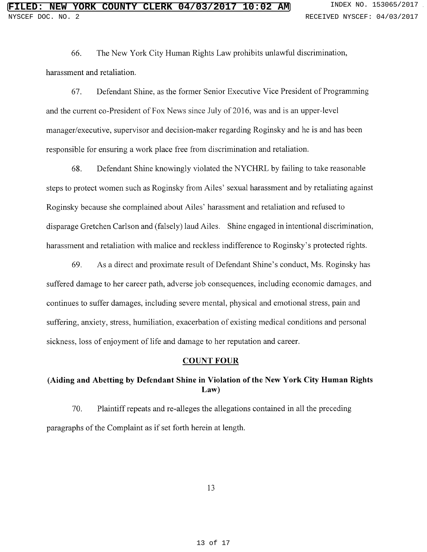66. The New York City Human Rights Law prohibits unlawful discrimination, harassment and retaliation.

67. Defendant Shine, as the former Senior Executive Vice President of Programming and the current co-President of Fox News since July of 2016, was and is an upper-level manager/executive, supervisor and decision-maker regarding Roginsky and he is and has been responsible for ensuring a work place free from discrimination and retaliation.

68. Defendant Shine knowingly violated the NYCHRL by failing to take reasonable steps to protect women such as Roginsky from Ailes' sexual harassment and by retaliating against Roginsky because she complained about Ailes' harassment and retaliation and refused to disparage Gretchen Carlson and (falsely) laud Ailes. Shine engaged in intentional discrimination, harassment and retaliation with malice and reckless indifference to Roginsky's protected rights.

69. As a direct and proximate result of Defendant Shine's conduct, Ms. Roginsky has suffered damage to her career path, adverse job consequences, including economic damages, and continues to suffer damages, including severe mental, physical and emotional stress, pain and suffering, anxiety, stress, humiliation, exacerbation of existing medical conditions and personal sickness, loss of enjoyment of life and damage to her reputation and career.

## COUNT FOUR

# (Aiding and Abetting by Defendant Shine in Violation of the New York City Human Rights Law)

70. Plaintiff repeats and re-alleges the allegations contained in all the preceding paragraphs of the Complaint as if set forth herein at length.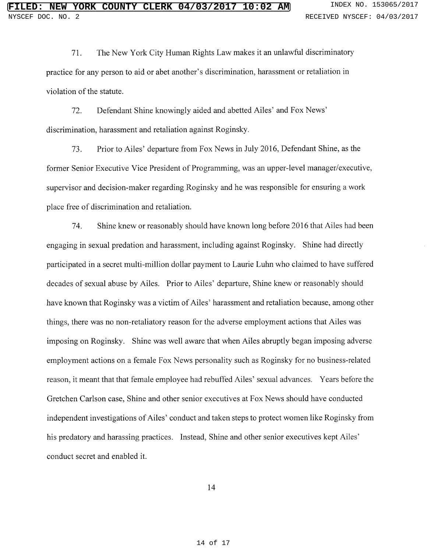71. The New York City Human Rights Law makes it an unlawful discriminatory practice for any person to aid or abet another's discrimination, harassment or retaliation in violation of the statute.

72. Defendant Shine knowingly aided and abetted Ailes' and Fox News' discrimination, harassment and retaliation against Roginsky.

73. Prior to Ailes' departure from Fox News in July 2016, Defendant Shine, as the former Senior Executive Vice President of Programming, was an upper-level manager/executive, supervisor and decision-maker regarding Roginsky and he was responsible for ensuring a work place free of discrimination and retaliation.

74. Shine knew or reasonably should have known long before 2016 that Ailes had been engaging in sexual predation and harassment, including against Roginsky. Shine had directly participated in a secret multi-million dollar payment to Laurie Luhn who claimed to have suffered decades of sexual abuse by Ailes. Prior to Ailes' departure, Shine knew or reasonably should have known that Roginsky was a victim of Ailes' harassment and retaliation because, among other things, there was no non-retaliatory reason for the adverse employment actions that Ailes was imposing on Roginsky. Shine was well aware that when Ailes abruptly began imposing adverse employment actions on a female Fox News personality such as Roginsky for no business-related reason, it meant that that female employee had rebuffed Ailes' sexual advances. Years before the Gretchen Carlson case, Shine and other senior executives at Fox News should have conducted independent investigations of Ailes' conduct and taken steps to protect women like Roginsky from his predatory and harassing practices. Instead, Shine and other senior executives kept Ailes' conduct secret and enabled it.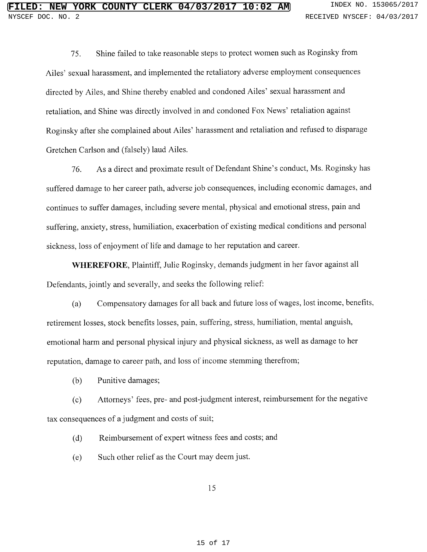75. Shine failed to take reasonable steps to protect women such as Roginsky from Riles' sexual harassment, and implemented the retaliatory adverse employment consequences directed by Riles, and Shine thereby enabled and condoned Riles' sexual harassment and retaliation, and Shine was directly involved in and condoned Fox News' retaliation against Roginsky after she complained about Ailes' harassment and retaliation and refused to disparage Gretchen Carlson and (falsely) laud Ailes.

76. As a direct and proximate result of Defendant Shine's conduct, Ms. Roginsky has suffered damage to her career path, adverse job consequences, including economic damages, and continues to suffer damages, including severe mental, physical and emotional stress, pain and suffering, anxiety, stress, humiliation, exacerbation of existing medical conditions and personal sickness, loss of enjoyment of life and damage to her reputation and career.

WHEREFORE, Plaintiff, Julie Roginsky, demands judgment in her favor against all Defendants, jointly and severally, and seeks the following relief:

(a) Compensatory damages for all back and future loss of wages, lost income, benefits, retirement losses, stock benefits losses, pain, suffering, stress, humiliation, mental anguish, emotional harm and personal physical injury and physical sickness, as well as damage to her reputation, damage to career path, and loss of income stemming therefrom;

(b) Punitive damages;

(c) Attorneys' fees, pre- and post judgment interest, reimbursement for the negative tax consequences of a judgment and costs of suit;

(d) Reimbursement of expert witness fees and costs; and

(e) Such other relief as the Court may deem just.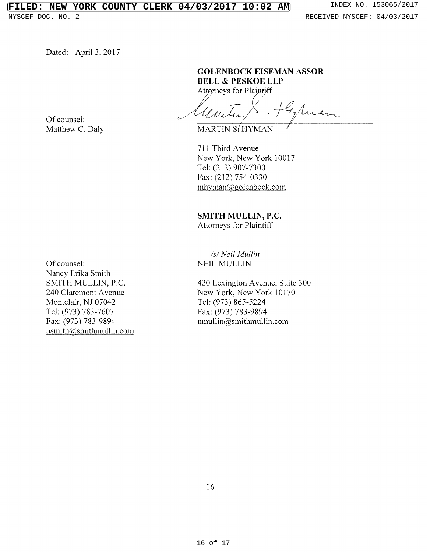# **LED: NEW YORK COUNTY CLERK 04/03/2017 10:02 AM** INDEX NO. 153065/2017

Dated: April 3, 2017

Of counsel: Matthew C. Daly BELL & PESKOE LLP Attørneys for Plaintiff

**GOLENBOCK EISEMAN ASSOR** 

gran

MARTIN S/HYMAN

711 Third Avenue New York, New York 10017 Tel: (212) 907-7300 Fax: (212) 754-0330  $m$ hyman $@$ golenbock.com

SMITH MULLIN, P.C. Attorneys for Plaintiff

/s/Neil Mullin

NEIL MULLIN

420 Lexington Avenue, Suite 300 New York, New York 10170 Tel: (973) 865-5224 Fax: (973) 783-9894 nmullin@smithmullin.com

Of counsel: Nancy Erika Smith SMITH MULLIN, P.C. 240 Claremont Avenue Montclair, NJ 07042 Tel: (973) 783-7607 Fax: (973) 783-9894 nsmith@smithmullin.com